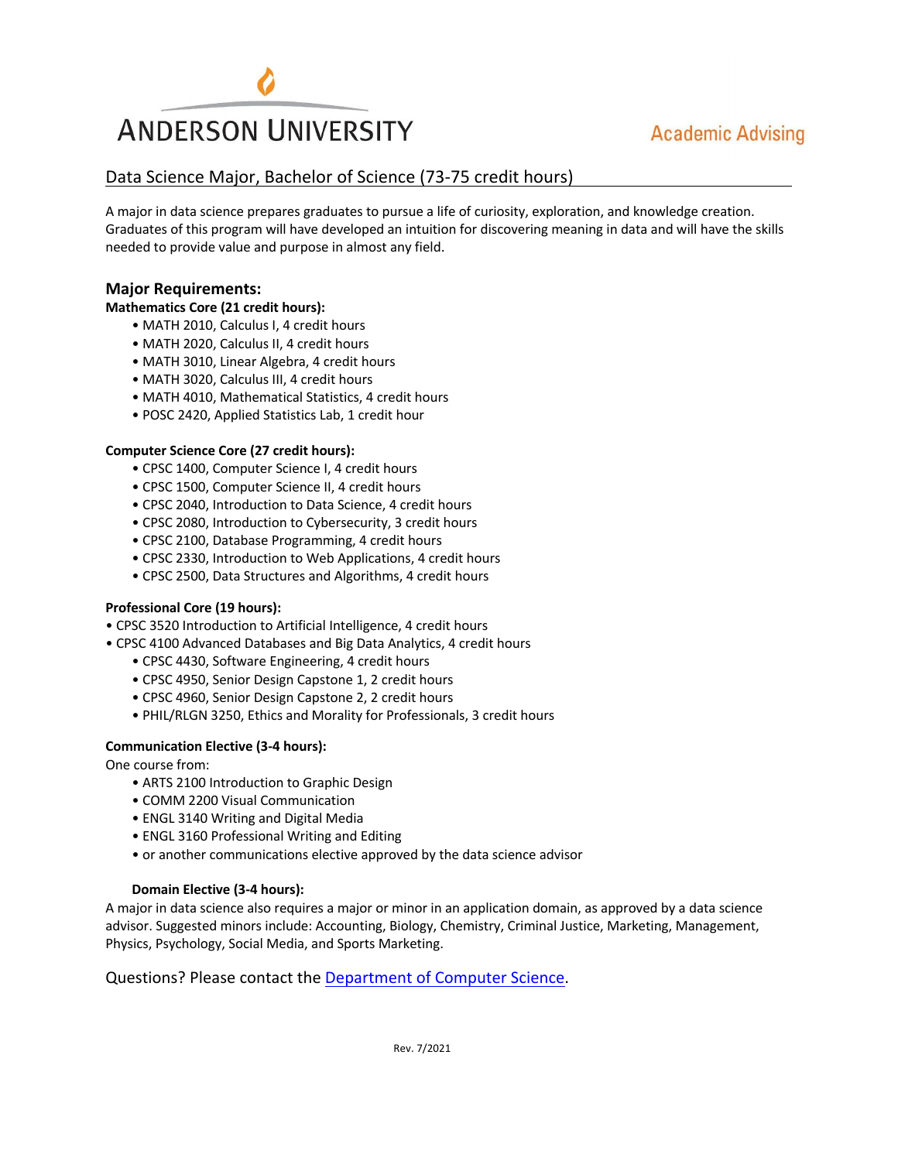

# **Academic Advising**

## Data Science Major, Bachelor of Science (73-75 credit hours)

A major in data science prepares graduates to pursue a life of curiosity, exploration, and knowledge creation. Graduates of this program will have developed an intuition for discovering meaning in data and will have the skills needed to provide value and purpose in almost any field.

### **Major Requirements:**

#### **Mathematics Core (21 credit hours):**

- MATH 2010, Calculus I, 4 credit hours
- MATH 2020, Calculus II, 4 credit hours
- MATH 3010, Linear Algebra, 4 credit hours
- MATH 3020, Calculus III, 4 credit hours
- MATH 4010, Mathematical Statistics, 4 credit hours
- POSC 2420, Applied Statistics Lab, 1 credit hour

#### **Computer Science Core (27 credit hours):**

- CPSC 1400, Computer Science I, 4 credit hours
- CPSC 1500, Computer Science II, 4 credit hours
- CPSC 2040, Introduction to Data Science, 4 credit hours
- CPSC 2080, Introduction to Cybersecurity, 3 credit hours
- CPSC 2100, Database Programming, 4 credit hours
- CPSC 2330, Introduction to Web Applications, 4 credit hours
- CPSC 2500, Data Structures and Algorithms, 4 credit hours

#### **Professional Core (19 hours):**

• CPSC 3520 Introduction to Artificial Intelligence, 4 credit hours

- CPSC 4100 Advanced Databases and Big Data Analytics, 4 credit hours
	- CPSC 4430, Software Engineering, 4 credit hours
	- CPSC 4950, Senior Design Capstone 1, 2 credit hours
	- CPSC 4960, Senior Design Capstone 2, 2 credit hours
	- PHIL/RLGN 3250, Ethics and Morality for Professionals, 3 credit hours

#### **Communication Elective (3-4 hours):**

One course from:

- ARTS 2100 Introduction to Graphic Design
- COMM 2200 Visual Communication
- ENGL 3140 Writing and Digital Media
- ENGL 3160 Professional Writing and Editing
- or another communications elective approved by the data science advisor

#### **Domain Elective (3-4 hours):**

A major in data science also requires a major or minor in an application domain, as approved by a data science advisor. Suggested minors include: Accounting, Biology, Chemistry, Criminal Justice, Marketing, Management, Physics, Psychology, Social Media, and Sports Marketing.

Questions? Please contact the Department of Computer Science.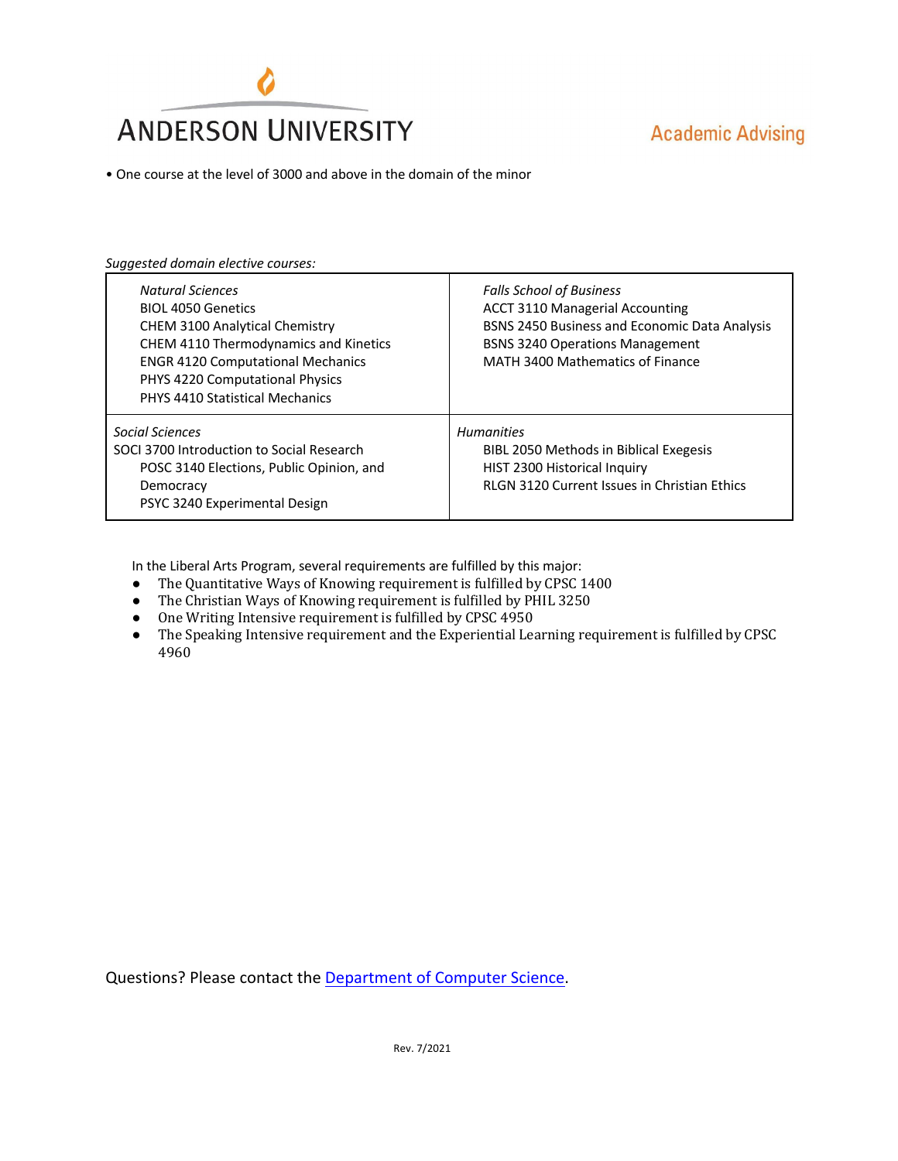

• One course at the level of 3000 and above in the domain of the minor

*Suggested domain elective courses:*

| <b>Natural Sciences</b><br><b>BIOL 4050 Genetics</b><br><b>CHEM 3100 Analytical Chemistry</b><br>CHEM 4110 Thermodynamics and Kinetics<br><b>ENGR 4120 Computational Mechanics</b><br>PHYS 4220 Computational Physics<br>PHYS 4410 Statistical Mechanics | <b>Falls School of Business</b><br><b>ACCT 3110 Managerial Accounting</b><br>BSNS 2450 Business and Economic Data Analysis<br><b>BSNS 3240 Operations Management</b><br>MATH 3400 Mathematics of Finance |
|----------------------------------------------------------------------------------------------------------------------------------------------------------------------------------------------------------------------------------------------------------|----------------------------------------------------------------------------------------------------------------------------------------------------------------------------------------------------------|
| Social Sciences<br>SOCI 3700 Introduction to Social Research<br>POSC 3140 Elections, Public Opinion, and<br>Democracy<br>PSYC 3240 Experimental Design                                                                                                   | <b>Humanities</b><br>BIBL 2050 Methods in Biblical Exegesis<br>HIST 2300 Historical Inquiry<br><b>RLGN 3120 Current Issues in Christian Ethics</b>                                                       |

In the Liberal Arts Program, several requirements are fulfilled by this major:

- The Quantitative Ways of Knowing requirement is fulfilled by CPSC 1400
- The Christian Ways of Knowing requirement is fulfilled by PHIL 3250
- One Writing Intensive requirement is fulfilled by CPSC 4950
- The Speaking Intensive requirement and the Experiential Learning requirement is fulfilled by CPSC 4960

Questions? Please contact the Department of Computer Science.